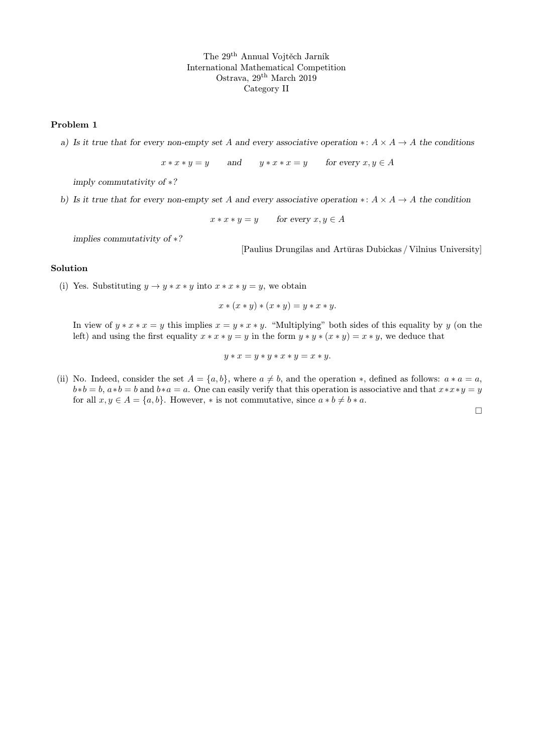## Problem 1

a) Is it true that for every non-empty set A and every associative operation  $\ast: A \times A \rightarrow A$  the conditions

 $x * x * y = y$  and  $y * x * x = y$  for every  $x, y \in A$ 

imply commutativity of ∗?

b) Is it true that for every non-empty set A and every associative operation ∗:  $A \times A \rightarrow A$  the condition

 $x * x * y = y$  for every  $x, y \in A$ 

implies commutativity of ∗?

[Paulius Drungilas and Artūras Dubickas / Vilnius University]

## Solution

(i) Yes. Substituting  $y \rightarrow y * x * y$  into  $x * x * y = y$ , we obtain

$$
x * (x * y) * (x * y) = y * x * y.
$$

In view of  $y * x * x = y$  this implies  $x = y * x * y$ . "Multiplying" both sides of this equality by y (on the left) and using the first equality  $x * x * y = y$  in the form  $y * y * (x * y) = x * y$ , we deduce that

$$
y * x = y * y * x * y = x * y.
$$

(ii) No. Indeed, consider the set  $A = \{a, b\}$ , where  $a \neq b$ , and the operation  $\ast$ , defined as follows:  $a \ast a = a$ ,  $b*b = b, a*b = b$  and  $b*a = a$ . One can easily verify that this operation is associative and that  $x*x*y = y$ for all  $x, y \in A = \{a, b\}$ . However, \* is not commutative, since  $a * b \neq b * a$ .

 $\Box$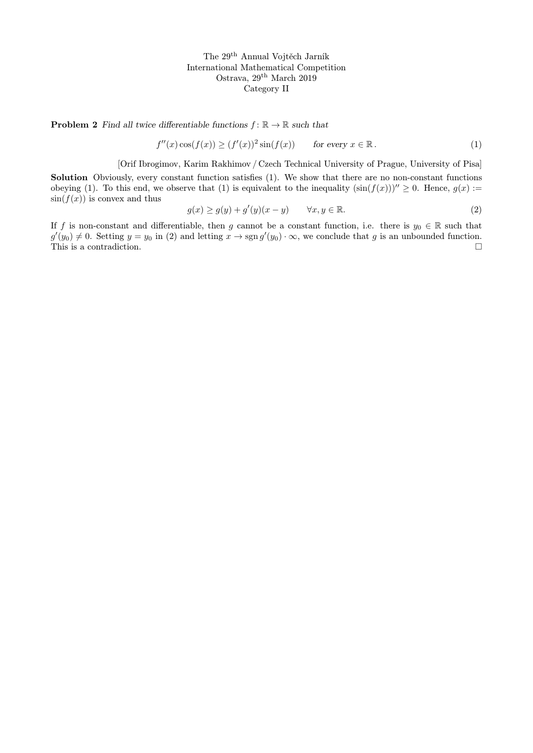**Problem 2** Find all twice differentiable functions  $f: \mathbb{R} \to \mathbb{R}$  such that

$$
f''(x)\cos(f(x)) \ge (f'(x))^2 \sin(f(x)) \qquad \text{for every } x \in \mathbb{R}.
$$
 (1)

[Orif Ibrogimov, Karim Rakhimov / Czech Technical University of Prague, University of Pisa]

Solution Obviously, every constant function satisfies (1). We show that there are no non-constant functions obeying (1). To this end, we observe that (1) is equivalent to the inequality  $(\sin(f(x)))'' \ge 0$ . Hence,  $g(x) :=$  $sin(f(x))$  is convex and thus

$$
g(x) \ge g(y) + g'(y)(x - y) \qquad \forall x, y \in \mathbb{R}.
$$
 (2)

If f is non-constant and differentiable, then g cannot be a constant function, i.e. there is  $y_0 \in \mathbb{R}$  such that  $g'(y_0) \neq 0$ . Setting  $y = y_0$  in (2) and letting  $x \to \text{sgn } g'(y_0) \cdot \infty$ , we conclude that g is an unbounded function. This is a contradiction.  $\hfill \square$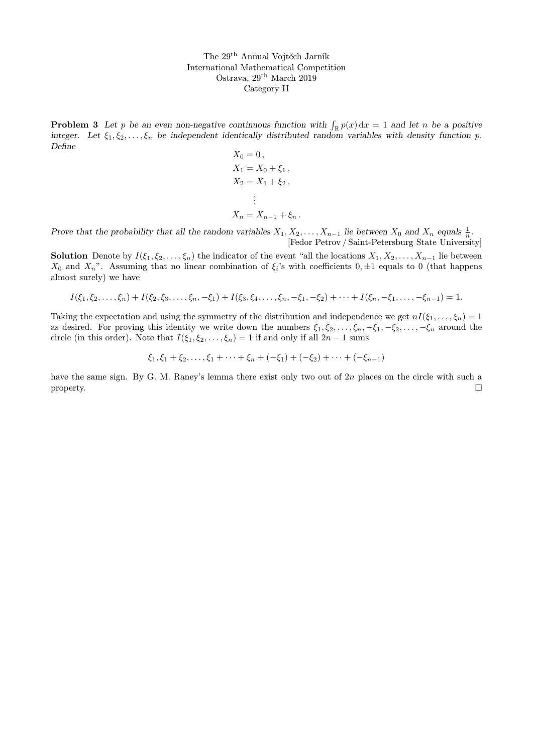**Problem 3** Let p be an even non-negative continuous function with  $\int_{\mathbb{R}} p(x) dx = 1$  and let n be a positive integer. Let  $\xi_1, \xi_2, \ldots, \xi_n$  be independent identically distributed random variables with density function p. Define

$$
X_0 = 0,
$$
  
\n
$$
X_1 = X_0 + \xi_1,
$$
  
\n
$$
X_2 = X_1 + \xi_2,
$$
  
\n
$$
\vdots
$$
  
\n
$$
X_n = X_{n-1} + \xi_n.
$$

Prove that the probability that all the random variables  $X_1, X_2, \ldots, X_{n-1}$  lie between  $X_0$  and  $X_n$  equals  $\frac{1}{n}$ . [Fedor Petrov / Saint-Petersburg State University]

**Solution** Denote by  $I(\xi_1, \xi_2, \ldots, \xi_n)$  the indicator of the event "all the locations  $X_1, X_2, \ldots, X_{n-1}$  lie between  $X_0$  and  $X_n$ ". Assuming that no linear combination of  $\xi_i$ 's with coefficients  $0, \pm 1$  equals to 0 (that happens almost surely) we have

$$
I(\xi_1, \xi_2, \ldots, \xi_n) + I(\xi_2, \xi_3, \ldots, \xi_n, -\xi_1) + I(\xi_3, \xi_4, \ldots, \xi_n, -\xi_1, -\xi_2) + \cdots + I(\xi_n, -\xi_1, \ldots, -\xi_{n-1}) = 1.
$$

Taking the expectation and using the symmetry of the distribution and independence we get  $nI(\xi_1, \ldots, \xi_n) = 1$ as desired. For proving this identity we write down the numbers  $\xi_1, \xi_2, \ldots, \xi_n, -\xi_1, -\xi_2, \ldots, -\xi_n$  around the circle (in this order). Note that  $I(\xi_1, \xi_2, \ldots, \xi_n) = 1$  if and only if all  $2n - 1$  sums

$$
\xi_1, \xi_1 + \xi_2, \ldots, \xi_1 + \cdots + \xi_n + (-\xi_1) + (-\xi_2) + \cdots + (-\xi_{n-1})
$$

have the same sign. By G. M. Raney's lemma there exist only two out of 2n places on the circle with such a property.